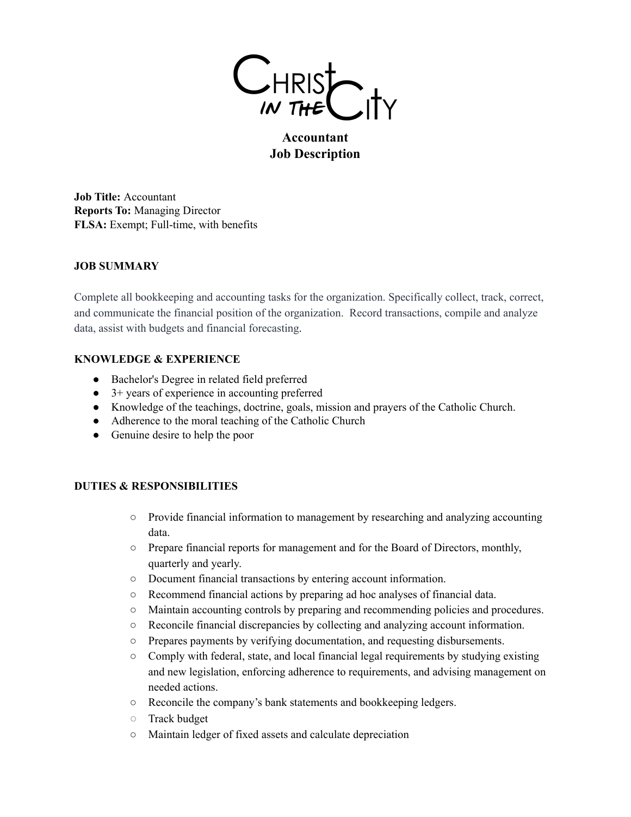

# **Accountant Job Description**

**Job Title:** Accountant **Reports To:** Managing Director **FLSA:** Exempt; Full-time, with benefits

# **JOB SUMMARY**

Complete all bookkeeping and accounting tasks for the organization. Specifically collect, track, correct, and communicate the financial position of the organization. Record transactions, compile and analyze data, assist with budgets and financial forecasting.

### **KNOWLEDGE & EXPERIENCE**

- Bachelor's Degree in related field preferred
- 3+ years of experience in accounting preferred
- Knowledge of the teachings, doctrine, goals, mission and prayers of the Catholic Church.
- Adherence to the moral teaching of the Catholic Church
- Genuine desire to help the poor

### **DUTIES & RESPONSIBILITIES**

- Provide financial information to management by researching and analyzing accounting data.
- Prepare financial reports for management and for the Board of Directors, monthly, quarterly and yearly.
- Document financial transactions by entering account information.
- Recommend financial actions by preparing ad hoc analyses of financial data.
- Maintain accounting controls by preparing and recommending policies and procedures.
- Reconcile financial discrepancies by collecting and analyzing account information.
- Prepares payments by verifying documentation, and requesting disbursements.
- Comply with federal, state, and local financial legal requirements by studying existing and new legislation, enforcing adherence to requirements, and advising management on needed actions.
- Reconcile the company's bank statements and bookkeeping ledgers.
- Track budget
- Maintain ledger of fixed assets and calculate depreciation